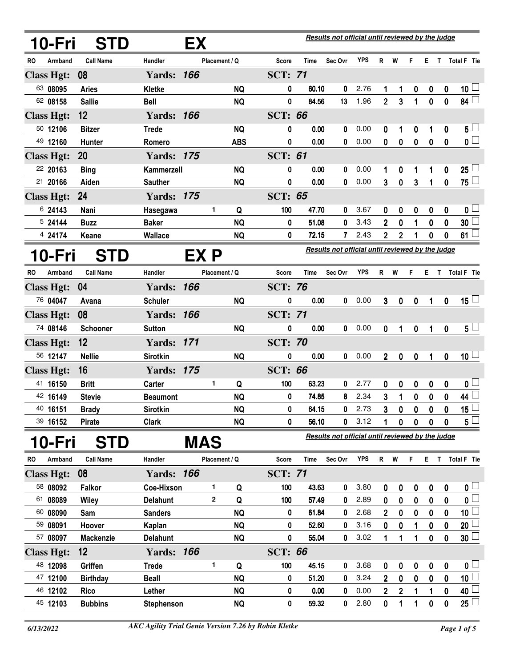| 10-Fri            | <b>STD</b>       |                   | EX   |                   |                |             | Results not official until reviewed by the judge |            |                |                  |                  |          |                  |                         |
|-------------------|------------------|-------------------|------|-------------------|----------------|-------------|--------------------------------------------------|------------|----------------|------------------|------------------|----------|------------------|-------------------------|
| Armband<br>RO     | <b>Call Name</b> | Handler           |      | Placement / Q     | <b>Score</b>   | Time        | Sec Ovr                                          | <b>YPS</b> | R              | W                | F                |          |                  | E T Total F Tie         |
| <b>Class Hgt:</b> | 08               | <b>Yards: 166</b> |      |                   | <b>SCT: 71</b> |             |                                                  |            |                |                  |                  |          |                  |                         |
| 63 08095          | <b>Aries</b>     | Kletke            |      | <b>NQ</b>         | 0              | 60.10       | 0                                                | 2.76       | 1              | 1                | $\boldsymbol{0}$ | 0        | $\boldsymbol{0}$ | $10\sqcup$              |
| 62 08158          | <b>Sallie</b>    | <b>Bell</b>       |      | <b>NQ</b>         | 0              | 84.56       | 13                                               | 1.96       | $\overline{2}$ | 3                | 1                | $\bf{0}$ | $\pmb{0}$        | 84 $\Box$               |
| <b>Class Hgt:</b> | 12               | <b>Yards: 166</b> |      |                   | <b>SCT: 66</b> |             |                                                  |            |                |                  |                  |          |                  |                         |
| 50 12106          | <b>Bitzer</b>    | <b>Trede</b>      |      | <b>NQ</b>         | 0              | 0.00        | 0                                                | 0.00       | 0              | 1                | 0                | 1        | 0                | $5\sqcup$               |
| 49 12160          | Hunter           | Romero            |      | <b>ABS</b>        | 0              | 0.00        | 0                                                | 0.00       | 0              | 0                | $\mathbf 0$      | $\bf{0}$ | $\pmb{0}$        | $\overline{\mathbf{0}}$ |
| <b>Class Hgt:</b> | <b>20</b>        | <b>Yards: 175</b> |      |                   | <b>SCT: 61</b> |             |                                                  |            |                |                  |                  |          |                  |                         |
| 22 20163          | <b>Bing</b>      | Kammerzell        |      | <b>NQ</b>         | 0              | 0.00        | 0                                                | 0.00       | 1              | 0                | 1                | 1        | 0                | $25\perp$               |
| 21 20166          | Aiden            | <b>Sauther</b>    |      | <b>NQ</b>         | 0              | 0.00        | 0                                                | 0.00       | 3              | $\mathbf 0$      | 3                | 1        | 0                | $\overline{75}$         |
| <b>Class Hgt:</b> | 24               | <b>Yards: 175</b> |      |                   | <b>SCT: 65</b> |             |                                                  |            |                |                  |                  |          |                  |                         |
| 6 24143           | Nani             | Hasegawa          |      | 1<br>Q            | 100            | 47.70       | 0                                                | 3.67       | 0              | 0                | 0                | 0        | 0                | 0 <sub>1</sub>          |
| 5 24144           | <b>Buzz</b>      | <b>Baker</b>      |      | <b>NQ</b>         | 0              | 51.08       | 0                                                | 3.43       | 2              | 0                | 1                | 0        | 0                | 30                      |
| 4 24174           | Keane            | Wallace           |      | <b>NQ</b>         | 0              | 72.15       | 7                                                | 2.43       | 2              | $\overline{2}$   | 1                | 0        | 0                | 61 <sup>1</sup>         |
| 10-Fri            | <b>STD</b>       |                   | EX P |                   |                |             | Results not official until reviewed by the judge |            |                |                  |                  |          |                  |                         |
| RO.<br>Armband    | <b>Call Name</b> | Handler           |      | Placement / Q     | <b>Score</b>   | <b>Time</b> | Sec Ovr                                          | <b>YPS</b> | R              | W                | F                | Е.       | $\mathsf{T}$     | Total F Tie             |
| <b>Class Hgt:</b> | 04               | <b>Yards: 166</b> |      |                   | <b>SCT: 76</b> |             |                                                  |            |                |                  |                  |          |                  |                         |
| 76 04047          | Avana            | <b>Schuler</b>    |      | <b>NQ</b>         | 0              | 0.00        | 0                                                | 0.00       | 3              | $\boldsymbol{0}$ | $\mathbf 0$      | 1        | $\bf{0}$         | $15\sqcup$              |
| <b>Class Hgt:</b> | 08               | <b>Yards: 166</b> |      |                   | <b>SCT: 71</b> |             |                                                  |            |                |                  |                  |          |                  |                         |
| 74 08146          | Schooner         | <b>Sutton</b>     |      | <b>NQ</b>         | 0              | 0.00        | 0                                                | 0.00       | 0              | 1                | $\mathbf 0$      | 1        | $\bf{0}$         | $5\sqcup$               |
| <b>Class Hgt:</b> | 12               | <b>Yards: 171</b> |      |                   | <b>SCT: 70</b> |             |                                                  |            |                |                  |                  |          |                  |                         |
| 56 12147          | <b>Nellie</b>    | <b>Sirotkin</b>   |      | <b>NQ</b>         | 0              | 0.00        | 0                                                | 0.00       | $\overline{2}$ | $\mathbf 0$      | $\mathbf 0$      | 1        | $\mathbf 0$      | 10 <sup>1</sup>         |
| <b>Class Hgt:</b> | 16               | <b>Yards: 175</b> |      |                   | <b>SCT: 66</b> |             |                                                  |            |                |                  |                  |          |                  |                         |
| 41 16150          | <b>Britt</b>     | Carter            |      | 1<br>Q            | 100            | 63.23       | 0                                                | 2.77       | 0              | 0                | 0                | 0        | 0                | 0 <sub>1</sub>          |
| 42 16149          | <b>Stevie</b>    | <b>Beaumont</b>   |      | <b>NQ</b>         | 0              | 74.85       | 8                                                | 2.34       | 3              | 1                | $\pmb{0}$        | 0        | 0                | 44 <sup>1</sup>         |
| 40 16151          | <b>Brady</b>     | Sirotkin          |      | <b>NQ</b>         | 0              | 64.15       | 0                                                | 2.73       | 3              | 0                | $\pmb{0}$        | 0        | 0                | $\overline{15}$         |
| 39 16152          | <b>Pirate</b>    | Clark             |      | <b>NQ</b>         | 0              | 56.10       | 0                                                | 3.12       | 1              | 0                | $\mathbf 0$      | 0        | 0                | $5\Box$                 |
| 10-Fri            | <b>STD</b>       |                   | MAS  |                   |                |             | Results not official until reviewed by the judge |            |                |                  |                  |          |                  |                         |
| Armband<br>RO.    | <b>Call Name</b> | Handler           |      | Placement / Q     | Score          | Time        | Sec Ovr                                          | <b>YPS</b> |                | R W              | F                |          |                  | E T Total F Tie         |
| <b>Class Hgt:</b> | 08               | <b>Yards: 166</b> |      |                   | <b>SCT: 71</b> |             |                                                  |            |                |                  |                  |          |                  |                         |
| 58 08092          | Falkor           | Coe-Hixson        |      | 1<br>Q            | 100            | 43.63       | 0                                                | 3.80       | 0              | 0                | $\mathbf 0$      | 0        | 0                | 0 <sub>1</sub>          |
| 61 08089          | Wiley            | <b>Delahunt</b>   |      | $\mathbf{2}$<br>Q | 100            | 57.49       | 0                                                | 2.89       | 0              | 0                | 0                | 0        | 0                | $\mathfrak{o} \Box$     |
| 60 08090          | Sam              | <b>Sanders</b>    |      | <b>NQ</b>         | 0              | 61.84       | 0                                                | 2.68       | $\overline{2}$ | 0                | $\boldsymbol{0}$ | 0        | 0                | 10 <sup>2</sup>         |
| 59 08091          | Hoover           | Kaplan            |      | <b>NQ</b>         | 0              | 52.60       | 0                                                | 3.16       | 0              | 0                | 1                | 0        | 0                | 20 <sup>1</sup>         |
| 57 08097          | <b>Mackenzie</b> | <b>Delahunt</b>   |      | <b>NQ</b>         | 0              | 55.04       | 0                                                | 3.02       | 1              | 1                | 1                | 0        | 0                | $30\perp$               |
| <b>Class Hgt:</b> | 12               | <b>Yards: 166</b> |      |                   | <b>SCT: 66</b> |             |                                                  |            |                |                  |                  |          |                  |                         |
| 48 12098          | Griffen          | <b>Trede</b>      |      | 1<br>Q            | 100            | 45.15       | 0                                                | 3.68       | 0              | 0                | 0                | 0        | 0                | 0 <sub>1</sub>          |
| 47 12100          | <b>Birthday</b>  | <b>Beall</b>      |      | <b>NQ</b>         | 0              | 51.20       | 0                                                | 3.24       | 2              | 0                | $\mathbf 0$      | 0        | 0                | $\overline{10}$         |
| 46 12102          | Rico             | Lether            |      | <b>NQ</b>         | 0              | 0.00        | 0                                                | 0.00       | 2              | $\overline{2}$   | 1                |          | 0                | $40\perp$               |
| 45 12103          | <b>Bubbins</b>   | Stephenson        |      | <b>NQ</b>         | 0              | 59.32       | 0                                                | 2.80       | 0              | 1                | 1                | 0        | 0                | $25\Box$                |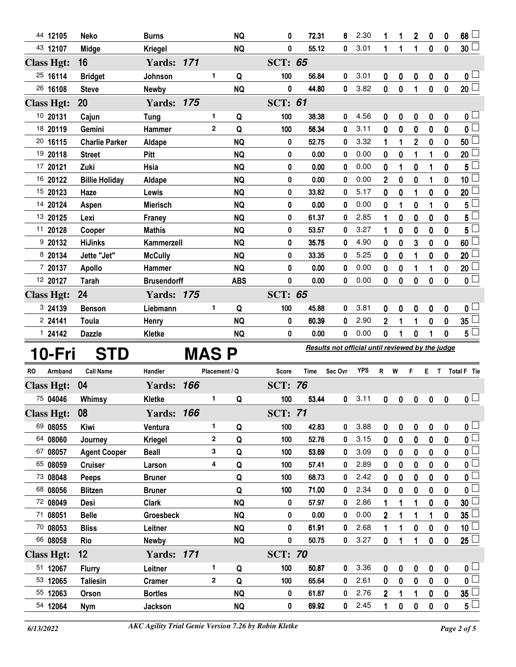| 44 12105          | <b>Neko</b>           | <b>Burns</b>       |                | <b>NQ</b>  | 0                                                | 72.31 | 6 | 2.30 | 1              | 1        | $\overline{2}$ | 0           | 0           | 68              |  |
|-------------------|-----------------------|--------------------|----------------|------------|--------------------------------------------------|-------|---|------|----------------|----------|----------------|-------------|-------------|-----------------|--|
| 43 12107          | Midge                 | <b>Kriegel</b>     |                | <b>NQ</b>  | 0                                                | 55.12 | 0 | 3.01 | 1              | 1        | 1              | $\mathbf 0$ | $\mathbf 0$ | $30\lfloor$     |  |
| <b>Class Hgt:</b> | 16                    | <b>Yards: 171</b>  |                |            | <b>SCT: 65</b>                                   |       |   |      |                |          |                |             |             |                 |  |
| 25 16114          | <b>Bridget</b>        | Johnson            | 1              | Q          | 100                                              | 56.84 | 0 | 3.01 | 0              | 0        | 0              | $\bf{0}$    | 0           | 0 L             |  |
| 26 16108          | <b>Steve</b>          | Newby              |                | <b>NQ</b>  | 0                                                | 44.80 | 0 | 3.82 | 0              | $\bf{0}$ | 1              | $\bf{0}$    | $\mathbf 0$ | 20 <sup>2</sup> |  |
| <b>Class Hgt:</b> | 20                    | <b>Yards: 175</b>  |                |            | <b>SCT: 61</b>                                   |       |   |      |                |          |                |             |             |                 |  |
| 10 20131          | Cajun                 | <b>Tung</b>        | 1              | Q          | 100                                              | 38.38 | 0 | 4.56 | 0              | 0        | 0              | 0           | 0           | 0 <sup>1</sup>  |  |
| 18 20119          | Gemini                | <b>Hammer</b>      | $\overline{2}$ | Q          | 100                                              | 56.34 | 0 | 3.11 | 0              | 0        | 0              | 0           | 0           | $\mathbf{0}$    |  |
| 20 16115          | <b>Charlie Parker</b> | Aldape             |                | <b>NQ</b>  | 0                                                | 52.75 | 0 | 3.32 | 1              | 1        | $\overline{2}$ | $\bf{0}$    | $\bf{0}$    | 50              |  |
| 19 20118          | <b>Street</b>         | Pitt               |                | <b>NQ</b>  | 0                                                | 0.00  | 0 | 0.00 | 0              | 0        | 1              | 1           | 0           | 20              |  |
| 17 20121          | Zuki                  | Hsia               |                | <b>NQ</b>  | 0                                                | 0.00  | 0 | 0.00 | 0              |          | 0              | 1           | 0           | 5               |  |
| 16 20122          | <b>Billie Holiday</b> | Aldape             |                | <b>NQ</b>  | 0                                                | 0.00  | 0 | 0.00 | $\overline{2}$ | 0        | 0              | 1           | 0           | 10 <sub>1</sub> |  |
| 15 20123          | Haze                  | Lewis              |                | <b>NQ</b>  | 0                                                | 33.82 | 0 | 5.17 | 0              | 0        | 1              | $\mathbf 0$ | 0           | 20              |  |
| 14 20124          | Aspen                 | <b>Mierisch</b>    |                | <b>NQ</b>  | 0                                                | 0.00  | 0 | 0.00 | 0              | 1        | 0              | 1           | 0           | 5               |  |
| 13 20125          | Lexi                  | Franey             |                | <b>NQ</b>  | 0                                                | 61.37 | 0 | 2.85 | 1              | 0        | 0              | 0           | 0           | 5               |  |
| 11 20128          | Cooper                | <b>Mathis</b>      |                | <b>NQ</b>  | 0                                                | 53.57 | 0 | 3.27 | 1              | 0        | 0              | $\mathbf 0$ | 0           | 5               |  |
| 920132            | <b>HiJinks</b>        | Kammerzell         |                | <b>NQ</b>  | 0                                                | 35.75 | 0 | 4.90 | 0              | 0        | 3              | 0           | 0           | 60              |  |
| 8 20134           | Jette "Jet"           | <b>McCully</b>     |                | <b>NQ</b>  | 0                                                | 33.35 | 0 | 5.25 | 0              | 0        | 1              | 0           | 0           | 20              |  |
| 7 20137           | <b>Apollo</b>         | <b>Hammer</b>      |                | <b>NQ</b>  | 0                                                | 0.00  | 0 | 0.00 | 0              | 0        | 1              | 1           | 0           | 20 <sub>2</sub> |  |
| 12 20127          | <b>Tarah</b>          | <b>Brusendorff</b> |                | <b>ABS</b> | 0                                                | 0.00  | 0 | 0.00 | 0              | 0        | 0              | $\pmb{0}$   | 0           | 0 <sub>0</sub>  |  |
| <b>Class Hgt:</b> | 24                    | <b>Yards: 175</b>  |                |            | <b>SCT: 65</b>                                   |       |   |      |                |          |                |             |             |                 |  |
| 3 24139           | <b>Benson</b>         | Liebmann           | 1              | Q          | 100                                              | 45.88 | 0 | 3.81 | 0              | 0        | 0              | 0           | $\bf{0}$    | 0 <sub>l</sub>  |  |
| 2 24141           | <b>Toula</b>          | Henry              |                | <b>NQ</b>  | 0                                                | 60.39 | 0 | 2.90 | $\overline{2}$ | 1        | 1              | $\mathbf 0$ | 0           | 35 <sub>2</sub> |  |
| 124142            | <b>Dazzle</b>         | Kletke             |                | <b>NQ</b>  | 0                                                | 0.00  | 0 | 0.00 | 0              | 1        | 0              | 1           | 0           | 5 <sup>5</sup>  |  |
| 10 Cµi            | CTN                   |                    | MAC            | D          | Results not official until reviewed by the judge |       |   |      |                |          |                |             |             |                 |  |

## **10-Fri STD**

**MAS P Results not official until reviewed by the judge**

| <b>RO</b> | Armband           | <b>Call Name</b>    | Handler           | Placement / Q |           | <b>Score</b>   | <b>Time</b> | Sec Ovr | <b>YPS</b> | R              | W | F        | E           |              | Total F Tie         |
|-----------|-------------------|---------------------|-------------------|---------------|-----------|----------------|-------------|---------|------------|----------------|---|----------|-------------|--------------|---------------------|
|           | <b>Class Hgt:</b> | 04                  | <b>Yards: 166</b> |               |           | <b>SCT: 76</b> |             |         |            |                |   |          |             |              |                     |
|           | 75 04046          | Whimsy              | Kletke            | 1             | Q         | 100            | 53.44       | 0       | 3.11       | 0              | 0 | 0        | $\mathbf 0$ | $\mathbf 0$  | $\mathbf{0}$ $\Box$ |
|           | <b>Class Hgt:</b> | 08                  | <b>Yards: 166</b> |               |           | <b>SCT: 71</b> |             |         |            |                |   |          |             |              |                     |
|           | 69 08055          | Kiwi                | Ventura           | 1             | Q         | 100            | 42.83       | 0       | 3.88       | 0              | 0 | 0        | 0           | $\mathbf 0$  | 0 L                 |
|           | 64 08060          | Journey             | Kriegel           | $\mathbf{2}$  | Q         | 100            | 52.76       | 0       | 3.15       | 0              | 0 | 0        | 0           | 0            | 0 L                 |
|           | 67 08057          | <b>Agent Cooper</b> | <b>Beall</b>      | 3             | Q         | 100            | 53.69       | 0       | 3.09       | 0              | 0 | 0        | 0           | 0            | 0 L                 |
|           | 65 08059          | <b>Cruiser</b>      | Larson            | 4             | Q         | 100            | 57.41       | 0       | 2.89       | 0              | 0 | 0        | 0           | 0            | 0                   |
|           | 73 08048          | Peeps               | <b>Bruner</b>     |               | Q         | 100            | 68.73       | 0       | 2.42       | 0              | 0 | 0        | 0           | $\mathbf{0}$ | 0 L                 |
|           | 68 08056          | <b>Blitzen</b>      | <b>Bruner</b>     |               | Q         | 100            | 71.00       | 0       | 2.34       | 0              | 0 | 0        | 0           | $\mathbf 0$  | 0 <sup>L</sup>      |
|           | 72 08049          | Desi                | <b>Clark</b>      |               | <b>NQ</b> | 0              | 57.97       | 0       | 2.86       |                |   |          | 0           | 0            | $30\sqcup$          |
|           | 71 08051          | <b>Belle</b>        | <b>Groesbeck</b>  |               | <b>NQ</b> | 0              | 0.00        | 0       | 0.00       | $\overline{2}$ |   |          |             | 0            | 35                  |
|           | 70 08053          | <b>Bliss</b>        | Leitner           |               | <b>NQ</b> | 0              | 61.91       | 0       | 2.68       |                |   | $\bf{0}$ | 0           | 0            | 10 <sup>°</sup>     |
|           | 66 08058          | <b>Rio</b>          | <b>Newby</b>      |               | <b>NQ</b> | 0              | 50.75       | 0       | 3.27       | 0              |   |          | $\mathbf 0$ | $\mathbf 0$  | $25 -$              |
|           | <b>Class Hgt:</b> | 12                  | <b>Yards: 171</b> |               |           | <b>SCT: 70</b> |             |         |            |                |   |          |             |              |                     |
|           | 51 12067          | <b>Flurry</b>       | Leitner           | 1             | Q         | 100            | 50.87       | 0       | 3.36       | 0              | 0 | 0        | $\mathbf 0$ | $\mathbf 0$  | 0 L                 |
|           | 53 12065          | <b>Taliesin</b>     | <b>Cramer</b>     | $\mathbf{2}$  | Q         | 100            | 65.64       | 0       | 2.61       | 0              | 0 | 0        | 0           | $\mathbf 0$  | 0                   |
|           | 55 12063          | Orson               | <b>Bortles</b>    |               | <b>NQ</b> | 0              | 61.87       | 0       | 2.76       | $\overline{2}$ |   |          | 0           | 0            | $35\perp$           |
|           | 54 12064          | <b>Nym</b>          | Jackson           |               | <b>NQ</b> | 0              | 69.92       | 0       | 2.45       |                | 0 | 0        | 0           | 0            | $5\phantom{.0}$     |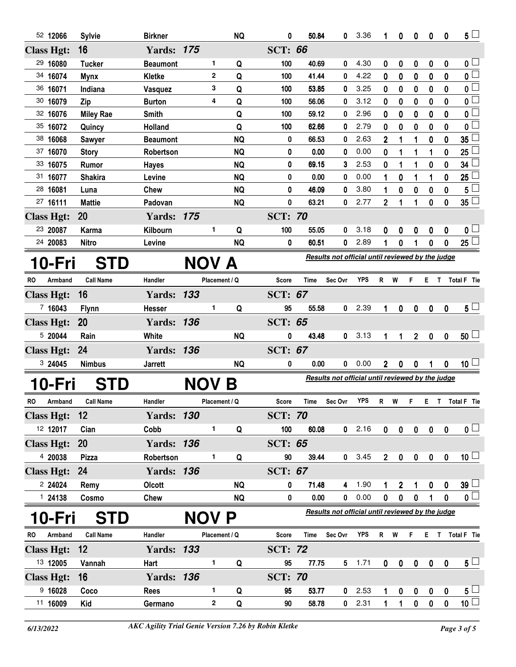|                   | 52 12066            | <b>Sylvie</b>                  | <b>Birkner</b>            |              | <b>NQ</b>         | 0                    | 50.84          | 0                                                | 3.36         | 1              | 0            | 0                | 0                        | $\bf{0}$         | $5\perp$                     |
|-------------------|---------------------|--------------------------------|---------------------------|--------------|-------------------|----------------------|----------------|--------------------------------------------------|--------------|----------------|--------------|------------------|--------------------------|------------------|------------------------------|
| <b>Class Hgt:</b> |                     | 16                             | <b>Yards: 175</b>         |              |                   | <b>SCT: 66</b>       |                |                                                  |              |                |              |                  |                          |                  |                              |
|                   | 29 16080            | <b>Tucker</b>                  | <b>Beaumont</b>           |              | 1<br>Q            | 100                  | 40.69          | 0                                                | 4.30         | 0              | 0            | 0                | 0                        | 0                | 0 <sub>0</sub>               |
|                   | 34 16074            | <b>Mynx</b>                    | Kletke                    |              | $\mathbf{2}$<br>Q | 100                  | 41.44          | 0                                                | 4.22         | 0              | 0            | 0                | 0                        | 0                | $\overline{0}$               |
|                   | 36 16071            | Indiana                        | Vasquez                   |              | 3<br>Q            | 100                  | 53.85          | 0                                                | 3.25         | 0              | 0            | 0                | 0                        | $\bf{0}$         | $0\perp$                     |
|                   | 30 16079            | Zip                            | <b>Burton</b>             |              | Q<br>4            | 100                  | 56.06          | 0                                                | 3.12         | 0              | 0            | 0                | 0                        | $\bf{0}$         | $\overline{\mathbf{0}}$      |
|                   | 32 16076            | <b>Miley Rae</b>               | <b>Smith</b>              |              | Q                 | 100                  | 59.12          | 0                                                | 2.96         | 0              | 0            | 0                | 0                        | $\bf{0}$         | 0 <sup>1</sup>               |
|                   | 35 16072            | Quincy                         | Holland                   |              | Q                 | 100                  | 62.66          | 0                                                | 2.79         | 0              | 0            | 0                | 0                        | $\bf{0}$         | 0 <sup>1</sup>               |
|                   | 38 16068            | <b>Sawyer</b>                  | <b>Beaumont</b>           |              | <b>NQ</b>         | 0                    | 66.53          | 0                                                | 2.63         | $\overline{2}$ | 1            | 1                | 0                        | $\bf{0}$         | 35                           |
|                   | 37 16070            | <b>Story</b>                   | Robertson                 |              | <b>NQ</b>         | 0                    | 0.00           | 0                                                | 0.00         | 0              | 1            | 1                | 1                        | 0                | 25                           |
|                   | 33 16075            | Rumor                          | <b>Hayes</b>              |              | <b>NQ</b>         | 0                    | 69.15          | 3                                                | 2.53         | 0              | 1            | 1                | 0                        | 0                | 34                           |
|                   | 31 16077            | <b>Shakira</b>                 | Levine                    |              | <b>NQ</b>         | 0                    | 0.00           | 0                                                | 0.00         | 1              | 0            | 1                | 1                        | 0                | 25 <sub>2</sub>              |
|                   | 28 16081            | Luna                           | <b>Chew</b>               |              | <b>NQ</b>         | 0                    | 46.09          | 0                                                | 3.80         | 1              | 0            | 0                | 0                        | 0                | 5                            |
|                   | 27 16111            | <b>Mattie</b>                  | Padovan                   |              | <b>NQ</b>         | 0                    | 63.21          | 0                                                | 2.77         | $\mathbf 2$    | 1            | 1                | 0                        | 0                | $35\square$                  |
| <b>Class Hgt:</b> |                     | 20                             | <b>Yards: 175</b>         |              |                   | <b>SCT: 70</b>       |                |                                                  |              |                |              |                  |                          |                  |                              |
|                   | 23 20087            | Karma                          | Kilbourn                  |              | 1<br>Q            | 100                  | 55.05          | 0                                                | 3.18         | 0              | 0            | 0                | 0                        | 0                | 0 <sub>0</sub>               |
|                   | 24 20083            | <b>Nitro</b>                   | Levine                    |              | <b>NQ</b>         | 0                    | 60.51          | 0                                                | 2.89         | 1              | 0            |                  | 0                        | 0                | $25\perp$                    |
|                   | 10-Fri              | <b>STD</b>                     |                           | NOV A        |                   |                      |                | Results not official until reviewed by the judge |              |                |              |                  |                          |                  |                              |
|                   |                     |                                | Handler                   |              |                   |                      |                |                                                  | <b>YPS</b>   |                |              | F.               |                          |                  |                              |
| RO                | Armband             | <b>Call Name</b>               |                           |              | Placement / Q     | Score                | Time           | Sec Ovr                                          |              | R W            |              |                  |                          |                  | E T Total F Tie              |
| <b>Class Hgt:</b> |                     | 16                             | <b>Yards: 133</b>         |              |                   | <b>SCT: 67</b>       |                |                                                  |              |                |              |                  |                          |                  |                              |
|                   | 7 16043             | <b>Flynn</b>                   | <b>Hesser</b>             |              | 1<br>Q            | 95                   | 55.58          | 0                                                | 2.39         | 1              | 0            | 0                | $\boldsymbol{0}$         | 0                | $5\perp$                     |
| <b>Class Hgt:</b> |                     | 20                             | <b>Yards: 136</b>         |              |                   | <b>SCT: 65</b>       |                |                                                  |              |                |              |                  |                          |                  |                              |
|                   | 5 20044             | Rain                           | White                     |              | <b>NQ</b>         | 0                    | 43.48          | 0                                                | 3.13         | 1              | 1            | 2 <sup>2</sup>   | $\mathbf 0$              | $\mathbf{0}$     | $50 \Box$                    |
| <b>Class Hgt:</b> |                     | 24                             | <b>Yards: 136</b>         |              |                   | <b>SCT: 67</b>       |                |                                                  |              |                |              |                  |                          |                  |                              |
|                   | 3 24045             | <b>Nimbus</b>                  | <b>Jarrett</b>            |              | <b>NQ</b>         | $\pmb{0}$            | 0.00           | 0                                                | 0.00         | $2^{\circ}$    | 0            | $\pmb{0}$        | 1                        | $\bf{0}$         | 10 <sup>1</sup>              |
|                   | 10-Fri              | <b>STD</b>                     |                           | NOV B        |                   |                      |                | Results not official until reviewed by the judge |              |                |              |                  |                          |                  |                              |
| RO                | Armband             | <b>Call Name</b>               | Handler                   |              | Placement / Q     | Score                | Time           | Sec Ovr                                          | YPS          | R              | W            | F                |                          |                  | E T Total F Tie              |
|                   |                     |                                |                           |              |                   |                      |                |                                                  |              |                |              |                  |                          |                  |                              |
| <b>Class Hgt:</b> |                     | 12                             | <b>Yards: 130</b>         |              |                   | <b>SCT: 70</b>       |                |                                                  |              |                |              |                  |                          |                  |                              |
|                   | 12 12017            |                                |                           |              |                   |                      |                |                                                  |              |                |              |                  |                          |                  |                              |
|                   |                     | Cian                           | Cobb                      |              | 1.<br>Q           | 100                  | 60.08          |                                                  | $0$ 2.16     | $\mathbf{0}$   | $\mathbf{0}$ | $\mathbf{0}$     | $\mathbf 0$              | $\boldsymbol{0}$ | $\overline{\mathbf{0}}$      |
|                   | <b>Class Hgt:</b>   | <b>20</b>                      | <b>Yards: 136</b>         |              |                   | <b>SCT: 65</b>       |                |                                                  |              |                |              |                  |                          |                  |                              |
|                   | 4 20038             | <b>Pizza</b>                   | Robertson                 |              | 1<br>Q            | 90                   | 39.44          | $\mathbf{0}$                                     | 3.45         | $2^{\circ}$    | $\pmb{0}$    | $\mathbf 0$      | $\pmb{0}$                | $\pmb{0}$        | 10 <sup>1</sup>              |
| <b>Class Hgt:</b> |                     | 24                             | <b>Yards: 136</b>         |              |                   | <b>SCT: 67</b>       |                |                                                  |              |                |              |                  |                          |                  |                              |
|                   | 2 24024             | Remy                           | <b>Olcott</b>             |              | <b>NQ</b>         | 0                    | 71.48          | 4                                                | 1.90         |                | 2            |                  | 0                        | 0                | $39\square$                  |
|                   | 124138              | Cosmo                          | <b>Chew</b>               |              | <b>NQ</b>         | 0                    | 0.00           | 0                                                | 0.00         | $\mathbf 0$    | 0            | $\mathbf 0$      | 1                        | $\mathbf 0$      | $\overline{\mathbf{0}}$      |
|                   |                     |                                |                           |              |                   |                      |                | Results not official until reviewed by the judge |              |                |              |                  |                          |                  |                              |
| <b>RO</b>         | 10-Fri<br>Armband   | <b>STD</b><br><b>Call Name</b> | Handler                   | <b>NOV P</b> | Placement / Q     | Score                | <b>Time</b>    | Sec Ovr                                          | <b>YPS</b>   | R              | W            | F                | E.                       | T                | Total F Tie                  |
|                   |                     | 12                             |                           |              |                   |                      |                |                                                  |              |                |              |                  |                          |                  |                              |
| <b>Class Hgt:</b> | 13 12005            | Vannah                         | <b>Yards: 133</b><br>Hart |              | 1<br>Q            | <b>SCT: 72</b><br>95 | 77.75          |                                                  | $5 - 1.71$   | $\bf{0}$       |              |                  |                          | $\boldsymbol{0}$ |                              |
|                   |                     |                                |                           |              |                   |                      |                |                                                  |              |                | $\pmb{0}$    | $\pmb{0}$        | $\mathbf 0$              |                  | $5\sqcup$                    |
| <b>Class Hgt:</b> |                     | 16                             | <b>Yards: 136</b>         |              | 1                 | <b>SCT: 70</b><br>95 |                | 0                                                |              |                |              |                  |                          |                  |                              |
|                   | 9 16028<br>11 16009 | Coco<br>Kid                    | Rees<br>Germano           |              | Q<br>2<br>Q       | 90                   | 53.77<br>58.78 | 0                                                | 2.53<br>2.31 | 1              | 0<br>1       | 0<br>$\mathbf 0$ | $\mathbf 0$<br>$\pmb{0}$ | 0<br>$\pmb{0}$   | $5\sqcup$<br>$\overline{10}$ |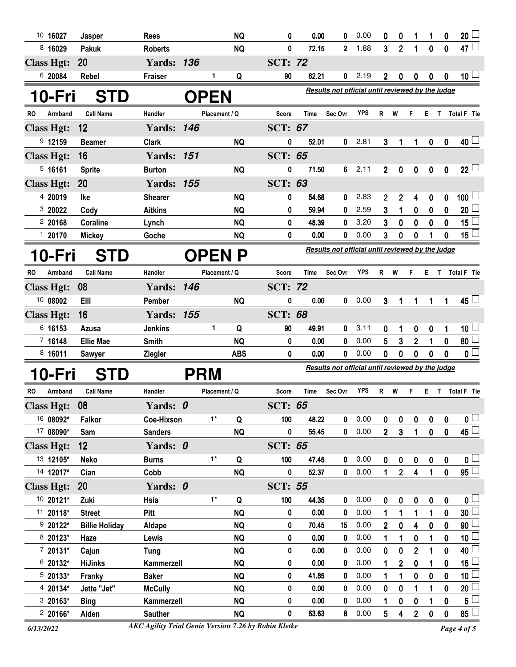| 10 16027             | Jasper                | <b>Rees</b>       |            | <b>NQ</b>     | 0            | 0.00           | 0                                                       | 0.00       | 0              | $\bf{0}$       | 1                       | 1           | $\bf{0}$     | 20                           |
|----------------------|-----------------------|-------------------|------------|---------------|--------------|----------------|---------------------------------------------------------|------------|----------------|----------------|-------------------------|-------------|--------------|------------------------------|
| 8 16029              | <b>Pakuk</b>          | <b>Roberts</b>    |            | <b>NQ</b>     | 0            | 72.15          | $\mathbf{2}$                                            | 1.88       | 3              | $\overline{2}$ | 1                       | $\bf{0}$    | 0            | 47 $\Box$                    |
| <b>Class Hgt:</b>    | 20                    | <b>Yards: 136</b> |            |               |              | <b>SCT: 72</b> |                                                         |            |                |                |                         |             |              |                              |
| 6 20084              | <b>Rebel</b>          | <b>Fraiser</b>    |            | 1<br>Q        | 90           | 62.21          | 0                                                       | 2.19       | $\mathbf 2$    | 0              | 0                       | 0           | 0            | 10 <sup>L</sup>              |
| 10-Fri               | <b>STD</b>            |                   |            | <b>OPEN</b>   |              |                | <b>Results not official until reviewed by the judge</b> |            |                |                |                         |             |              |                              |
| <b>RO</b><br>Armband | <b>Call Name</b>      | Handler           |            | Placement / Q | <b>Score</b> | Time           | Sec Ovr                                                 | <b>YPS</b> | R              | W              | F                       | E.          | T.           | Total F Tie                  |
| <b>Class Hgt:</b>    | 12                    | <b>Yards: 146</b> |            |               |              | <b>SCT: 67</b> |                                                         |            |                |                |                         |             |              |                              |
| 9 12159              | <b>Beamer</b>         | <b>Clark</b>      |            | <b>NQ</b>     | 0            | 52.01          | 0                                                       | 2.81       | 3              | 1              | 1                       | 0           | 0            | $40+$                        |
| <b>Class Hgt:</b>    | 16                    | <b>Yards: 151</b> |            |               |              | <b>SCT: 65</b> |                                                         |            |                |                |                         |             |              |                              |
| 5, 16161             | <b>Sprite</b>         | <b>Burton</b>     |            | <b>NQ</b>     | 0            | 71.50          | 6                                                       | 2.11       | $\overline{2}$ | 0              | $\mathbf 0$             | $\pmb{0}$   | $\pmb{0}$    | $22 -$                       |
| <b>Class Hgt:</b>    | 20                    | <b>Yards: 155</b> |            |               |              | <b>SCT: 63</b> |                                                         |            |                |                |                         |             |              |                              |
| 4 20019              | lke                   | <b>Shearer</b>    |            | <b>NQ</b>     | 0            | 54.68          | 0                                                       | 2.83       | 2              | $\mathbf 2$    | 4                       | 0           | 0            | 100 $\overline{\phantom{0}}$ |
| 3 20022              | Cody                  | <b>Aitkins</b>    |            | <b>NQ</b>     | 0            | 59.94          | 0                                                       | 2.59       | 3              | 1              | 0                       | 0           | 0            | 20                           |
| 220168               | Coraline              | Lynch             |            | <b>NQ</b>     | 0            | 48.39          | 0                                                       | 3.20       | 3              | 0              | 0                       | 0           | 0            | 15 <sub>1</sub>              |
| 120170               | <b>Mickey</b>         | Goche             |            | NQ            | 0            | 0.00           | 0                                                       | 0.00       | 3              | 0              | 0                       | 1           | 0            | 15 <sub>1</sub>              |
| 10-Fri               | <b>STD</b>            |                   |            | <b>OPEN P</b> |              |                | Results not official until reviewed by the judge        |            |                |                |                         |             |              |                              |
| Armband<br>RO        | <b>Call Name</b>      | Handler           |            | Placement / Q | Score        | Time           | Sec Ovr                                                 | <b>YPS</b> | R              | W              | F                       | Е.          | $\mathsf{T}$ | Total F Tie                  |
| <b>Class Hgt:</b>    | 08                    | <b>Yards: 146</b> |            |               |              | <b>SCT: 72</b> |                                                         |            |                |                |                         |             |              |                              |
| 10 08002             | Eili                  | Pember            |            | <b>NQ</b>     | 0            | 0.00           | 0                                                       | 0.00       | 3              | 1              | 1                       | 1           | 1            | $45 -$                       |
| <b>Class Hgt:</b>    | 16                    | <b>Yards: 155</b> |            |               |              | <b>SCT: 68</b> |                                                         |            |                |                |                         |             |              |                              |
| 6 16153              | Azusa                 | <b>Jenkins</b>    |            | 1<br>Q        | 90           | 49.91          | 0                                                       | 3.11       | 0              | 1              | 0                       | 0           | 1            | $10\sqcup$                   |
| 7 16148              | <b>Ellie Mae</b>      | <b>Smith</b>      |            | <b>NQ</b>     | 0            | 0.00           | 0                                                       | 0.00       | 5              | 3              | $\mathbf{2}$            | 1           | 0            | 80 $\Box$                    |
| 8 16011              | <b>Sawyer</b>         | <b>Ziegler</b>    |            | <b>ABS</b>    | 0            | 0.00           | 0                                                       | 0.00       | 0              | 0              | 0                       | 0           | 0            | $\mathfrak{o} \square$       |
| 10-Fri               | <b>STD</b>            |                   | <b>PRM</b> |               |              |                | Results not official until reviewed by the judge        |            |                |                |                         |             |              |                              |
| RO<br>Armband        | <b>Call Name</b>      | Handler           |            | Placement / Q | Score        | Time           | Sec Ovr                                                 | <b>YPS</b> | R              | W              | F                       | E.          | $\mathbf{T}$ | Total F Tie                  |
| <b>Class Hgt:</b>    | 08                    | Yards: 0          |            |               |              | <b>SCT: 65</b> |                                                         |            |                |                |                         |             |              |                              |
| 16 08092*            | Falkor                | Coe-Hixson        |            | $1^*$<br>Q    | 100          | 48.22          | 0                                                       | 0.00       | 0              | 0              | 0                       | 0           | 0            | $\mathfrak{o} \sqcup$        |
| 17 08090*            | Sam                   | <b>Sanders</b>    |            | <b>NQ</b>     | 0            | 55.45          | 0                                                       | 0.00       | $\overline{2}$ | $\mathbf{3}$   | $\mathbf{1}$            | $\mathbf 0$ | $\mathbf 0$  | $45\Box$                     |
| <b>Class Hgt:</b>    | 12                    | Yards: 0          |            |               |              | <b>SCT: 65</b> |                                                         |            |                |                |                         |             |              |                              |
| 13 12105*            | <b>Neko</b>           | <b>Burns</b>      |            | $1^*$<br>Q    | 100          | 47.45          | 0                                                       | 0.00       | 0              | 0              | $\pmb{0}$               | $\pmb{0}$   | 0            | $\mathfrak{o} \sqcup$        |
| 14 12017*            | Cian                  | Cobb              |            | <b>NQ</b>     | 0            | 52.37          | $\mathbf 0$                                             | 0.00       | 1              | $\overline{2}$ | $\overline{\mathbf{4}}$ | 1           | $\mathbf 0$  | $\overline{95}$              |
| <b>Class Hgt:</b>    | <b>20</b>             | Yards: 0          |            |               |              | <b>SCT: 55</b> |                                                         |            |                |                |                         |             |              |                              |
| 10 20121*            | Zuki                  | Hsia              |            | $1^*$<br>Q    | 100          | 44.35          | 0                                                       | 0.00       | 0              | 0              | $\pmb{0}$               | $\pmb{0}$   | 0            | 0 <sub>1</sub>               |
| 11 20118*            | <b>Street</b>         | Pitt              |            | <b>NQ</b>     | 0            | 0.00           | 0                                                       | 0.00       | 1              | 1              | 1                       | 1           | 0            | 30 <sub>2</sub>              |
| $920122*$            | <b>Billie Holiday</b> | Aldape            |            | <b>NQ</b>     | 0            | 70.45          | 15                                                      | 0.00       | $\overline{2}$ | $\mathbf 0$    | $\overline{\mathbf{4}}$ | $\bf{0}$    | 0            | 90                           |
| 8 20123*             | Haze                  | Lewis             |            | <b>NQ</b>     | 0            | 0.00           | 0                                                       | 0.00       | 1              | 1              | $\boldsymbol{0}$        | 1           | 0            | 10 <sub>1</sub>              |
| $720131*$            | Cajun                 | Tung              |            | <b>NQ</b>     | 0            | 0.00           | 0                                                       | 0.00       | 0              | $\mathbf 0$    | $\overline{2}$          | 1           | 0            | 40                           |
| 6 20132*             | <b>HiJinks</b>        | Kammerzell        |            | <b>NQ</b>     | 0            | 0.00           | 0                                                       | 0.00       | 1              | $\mathbf 2$    | $\bf{0}$                | 1           | 0            | 15 <sub>15</sub>             |
| $520133*$            | Franky                | <b>Baker</b>      |            | <b>NQ</b>     | 0            | 41.85          | 0                                                       | 0.00       | 1              | 1              | $\mathbf 0$             | 0           | 0            | 10 <sub>1</sub>              |
| 4 20134*             | Jette "Jet"           | <b>McCully</b>    |            | <b>NQ</b>     | 0            | 0.00           | 0                                                       | 0.00       | 0              | 0              | 1                       | 1           | 0            | 20                           |
| $320163*$            | <b>Bing</b>           | Kammerzell        |            | <b>NQ</b>     | 0            | 0.00           | 0                                                       | 0.00       | 1              | 0              | 0                       |             | 0            | 5 <sup>1</sup>               |
| $220166*$            | Aiden                 | <b>Sauther</b>    |            | <b>NQ</b>     | 0            | 63.63          | 8                                                       | 0.00       | 5              | 4              | $\overline{2}$          | 0           | $\mathbf 0$  | $85\perp$                    |